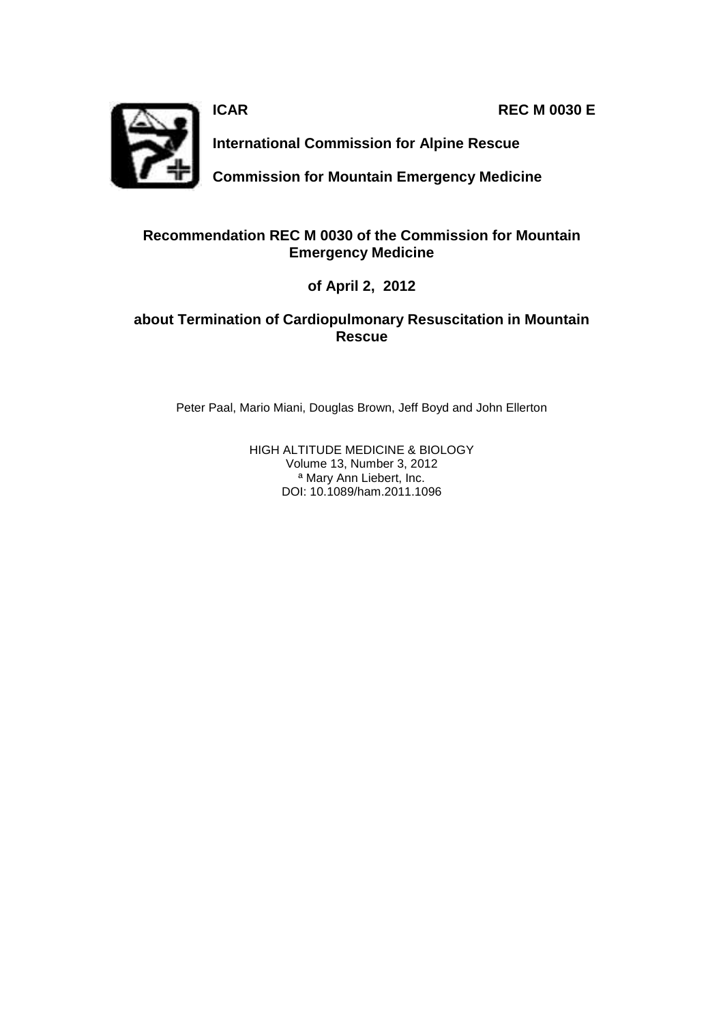**ICAR** REC M 0030 E



**International Commission for Alpine Rescue** 

**Commission for Mountain Emergency Medicine**

# **Recommendation REC M 0030 of the Commission for Mountain Emergency Medicine**

# **of April 2, 2012**

# **about Termination of Cardiopulmonary Resuscitation in Mountain Rescue**

Peter Paal, Mario Miani, Douglas Brown, Jeff Boyd and John Ellerton

HIGH ALTITUDE MEDICINE & BIOLOGY Volume 13, Number 3, 2012 ª Mary Ann Liebert, Inc. DOI: 10.1089/ham.2011.1096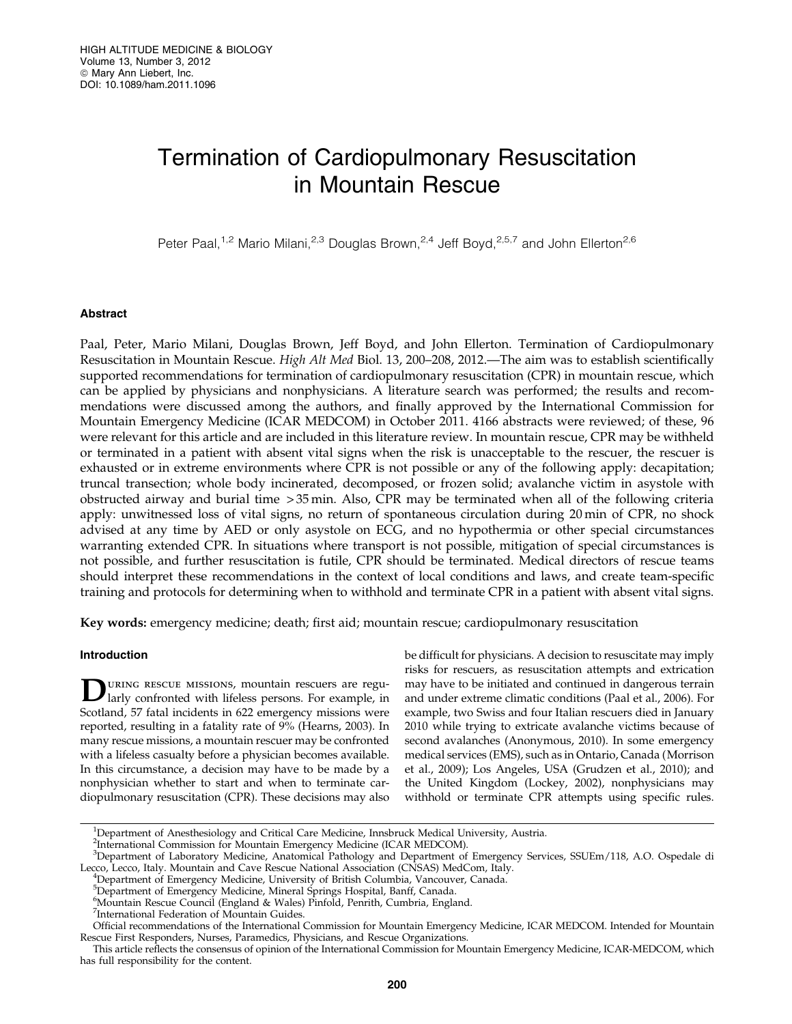# Termination of Cardiopulmonary Resuscitation in Mountain Rescue

Peter Paal,<sup>1,2</sup> Mario Milani,<sup>2,3</sup> Douglas Brown,<sup>2,4</sup> Jeff Boyd,<sup>2,5,7</sup> and John Ellerton<sup>2,6</sup>

# Abstract

Paal, Peter, Mario Milani, Douglas Brown, Jeff Boyd, and John Ellerton. Termination of Cardiopulmonary Resuscitation in Mountain Rescue. High Alt Med Biol. 13, 200–208, 2012.—The aim was to establish scientifically supported recommendations for termination of cardiopulmonary resuscitation (CPR) in mountain rescue, which can be applied by physicians and nonphysicians. A literature search was performed; the results and recommendations were discussed among the authors, and finally approved by the International Commission for Mountain Emergency Medicine (ICAR MEDCOM) in October 2011. 4166 abstracts were reviewed; of these, 96 were relevant for this article and are included in this literature review. In mountain rescue, CPR may be withheld or terminated in a patient with absent vital signs when the risk is unacceptable to the rescuer, the rescuer is exhausted or in extreme environments where CPR is not possible or any of the following apply: decapitation; truncal transection; whole body incinerated, decomposed, or frozen solid; avalanche victim in asystole with obstructed airway and burial time > 35 min. Also, CPR may be terminated when all of the following criteria apply: unwitnessed loss of vital signs, no return of spontaneous circulation during 20 min of CPR, no shock advised at any time by AED or only asystole on ECG, and no hypothermia or other special circumstances warranting extended CPR. In situations where transport is not possible, mitigation of special circumstances is not possible, and further resuscitation is futile, CPR should be terminated. Medical directors of rescue teams should interpret these recommendations in the context of local conditions and laws, and create team-specific training and protocols for determining when to withhold and terminate CPR in a patient with absent vital signs.

Key words: emergency medicine; death; first aid; mountain rescue; cardiopulmonary resuscitation

# Introduction

**DURING RESCUE MISSIONS, mountain rescuers are regu-**<br>arly confronted with lifeless persons. For example, in Scotland, 57 fatal incidents in 622 emergency missions were reported, resulting in a fatality rate of 9% (Hearns, 2003). In many rescue missions, a mountain rescuer may be confronted with a lifeless casualty before a physician becomes available. In this circumstance, a decision may have to be made by a nonphysician whether to start and when to terminate cardiopulmonary resuscitation (CPR). These decisions may also be difficult for physicians. A decision to resuscitate may imply risks for rescuers, as resuscitation attempts and extrication may have to be initiated and continued in dangerous terrain and under extreme climatic conditions (Paal et al., 2006). For example, two Swiss and four Italian rescuers died in January 2010 while trying to extricate avalanche victims because of second avalanches (Anonymous, 2010). In some emergency medical services (EMS), such as in Ontario, Canada (Morrison et al., 2009); Los Angeles, USA (Grudzen et al., 2010); and the United Kingdom (Lockey, 2002), nonphysicians may withhold or terminate CPR attempts using specific rules.

<sup>&</sup>lt;sup>1</sup>Department of Anesthesiology and Critical Care Medicine, Innsbruck Medical University, Austria.

<sup>&</sup>lt;sup>2</sup>International Commission for Mountain Emergency Medicine (ICAR MEDCOM).

<sup>3</sup> Department of Laboratory Medicine, Anatomical Pathology and Department of Emergency Services, SSUEm/118, A.O. Ospedale di Lecco, Lecco, Italy. Mountain and Cave Rescue National Association (CNSAS) MedCom, Italy.

<sup>&</sup>lt;sup>4</sup>Department of Emergency Medicine, University of British Columbia, Vancouver, Canada.

<sup>5</sup> Department of Emergency Medicine, Mineral Springs Hospital, Banff, Canada.

<sup>6</sup> Mountain Rescue Council (England & Wales) Pinfold, Penrith, Cumbria, England.

<sup>&</sup>lt;sup>7</sup>International Federation of Mountain Guides.

Official recommendations of the International Commission for Mountain Emergency Medicine, ICAR MEDCOM. Intended for Mountain Rescue First Responders, Nurses, Paramedics, Physicians, and Rescue Organizations.

This article reflects the consensus of opinion of the International Commission for Mountain Emergency Medicine, ICAR-MEDCOM, which has full responsibility for the content.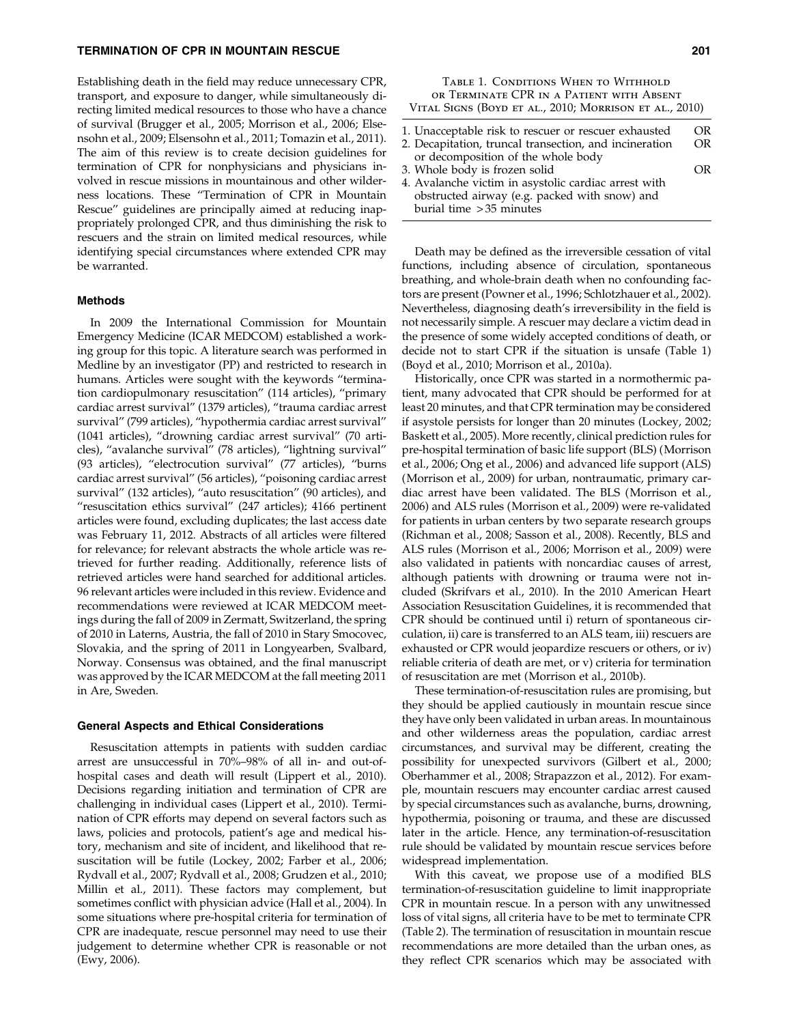# TERMINATION OF CPR IN MOUNTAIN RESCUE 201

Establishing death in the field may reduce unnecessary CPR, transport, and exposure to danger, while simultaneously directing limited medical resources to those who have a chance of survival (Brugger et al., 2005; Morrison et al., 2006; Elsensohn et al., 2009; Elsensohn et al., 2011; Tomazin et al., 2011). The aim of this review is to create decision guidelines for termination of CPR for nonphysicians and physicians involved in rescue missions in mountainous and other wilderness locations. These ''Termination of CPR in Mountain Rescue'' guidelines are principally aimed at reducing inappropriately prolonged CPR, and thus diminishing the risk to rescuers and the strain on limited medical resources, while identifying special circumstances where extended CPR may be warranted.

# Methods

In 2009 the International Commission for Mountain Emergency Medicine (ICAR MEDCOM) established a working group for this topic. A literature search was performed in Medline by an investigator (PP) and restricted to research in humans. Articles were sought with the keywords ''termination cardiopulmonary resuscitation'' (114 articles), ''primary cardiac arrest survival'' (1379 articles), ''trauma cardiac arrest survival'' (799 articles), ''hypothermia cardiac arrest survival'' (1041 articles), ''drowning cardiac arrest survival'' (70 articles), ''avalanche survival'' (78 articles), ''lightning survival'' (93 articles), ''electrocution survival'' (77 articles), ''burns cardiac arrest survival'' (56 articles), ''poisoning cardiac arrest survival" (132 articles), "auto resuscitation" (90 articles), and ''resuscitation ethics survival'' (247 articles); 4166 pertinent articles were found, excluding duplicates; the last access date was February 11, 2012. Abstracts of all articles were filtered for relevance; for relevant abstracts the whole article was retrieved for further reading. Additionally, reference lists of retrieved articles were hand searched for additional articles. 96 relevant articles were included in this review. Evidence and recommendations were reviewed at ICAR MEDCOM meetings during the fall of 2009 in Zermatt, Switzerland, the spring of 2010 in Laterns, Austria, the fall of 2010 in Stary Smocovec, Slovakia, and the spring of 2011 in Longyearben, Svalbard, Norway. Consensus was obtained, and the final manuscript was approved by the ICAR MEDCOM at the fall meeting 2011 in Are, Sweden.

### General Aspects and Ethical Considerations

Resuscitation attempts in patients with sudden cardiac arrest are unsuccessful in 70%–98% of all in- and out-ofhospital cases and death will result (Lippert et al., 2010). Decisions regarding initiation and termination of CPR are challenging in individual cases (Lippert et al., 2010). Termination of CPR efforts may depend on several factors such as laws, policies and protocols, patient's age and medical history, mechanism and site of incident, and likelihood that resuscitation will be futile (Lockey, 2002; Farber et al., 2006; Rydvall et al., 2007; Rydvall et al., 2008; Grudzen et al., 2010; Millin et al., 2011). These factors may complement, but sometimes conflict with physician advice (Hall et al., 2004). In some situations where pre-hospital criteria for termination of CPR are inadequate, rescue personnel may need to use their judgement to determine whether CPR is reasonable or not (Ewy, 2006).

| TABLE 1. CONDITIONS WHEN TO WITHHOLD<br>OR TERMINATE CPR IN A PATIENT WITH ABSENT<br>VITAL SIGNS (BOYD ET AL., 2010; MORRISON ET AL., 2010) |     |
|---------------------------------------------------------------------------------------------------------------------------------------------|-----|
| 1. Unacceptable risk to rescuer or rescuer exhausted                                                                                        | OR. |
| 2. Decapitation, truncal transection, and incineration                                                                                      | OR. |
| or decomposition of the whole body                                                                                                          |     |
| 3. Whole body is frozen solid                                                                                                               | ∋ĸ  |
| 4. Avalanche victim in asystolic cardiac arrest with                                                                                        |     |
| obstructed airway (e.g. packed with snow) and                                                                                               |     |
| burial time $>35$ minutes                                                                                                                   |     |

Death may be defined as the irreversible cessation of vital functions, including absence of circulation, spontaneous breathing, and whole-brain death when no confounding factors are present (Powner et al., 1996; Schlotzhauer et al., 2002). Nevertheless, diagnosing death's irreversibility in the field is not necessarily simple. A rescuer may declare a victim dead in the presence of some widely accepted conditions of death, or decide not to start CPR if the situation is unsafe (Table 1) (Boyd et al., 2010; Morrison et al., 2010a).

Historically, once CPR was started in a normothermic patient, many advocated that CPR should be performed for at least 20 minutes, and that CPR termination may be considered if asystole persists for longer than 20 minutes (Lockey, 2002; Baskett et al., 2005). More recently, clinical prediction rules for pre-hospital termination of basic life support (BLS) (Morrison et al., 2006; Ong et al., 2006) and advanced life support (ALS) (Morrison et al., 2009) for urban, nontraumatic, primary cardiac arrest have been validated. The BLS (Morrison et al., 2006) and ALS rules (Morrison et al., 2009) were re-validated for patients in urban centers by two separate research groups (Richman et al., 2008; Sasson et al., 2008). Recently, BLS and ALS rules (Morrison et al., 2006; Morrison et al., 2009) were also validated in patients with noncardiac causes of arrest, although patients with drowning or trauma were not included (Skrifvars et al., 2010). In the 2010 American Heart Association Resuscitation Guidelines, it is recommended that CPR should be continued until i) return of spontaneous circulation, ii) care is transferred to an ALS team, iii) rescuers are exhausted or CPR would jeopardize rescuers or others, or iv) reliable criteria of death are met, or v) criteria for termination of resuscitation are met (Morrison et al., 2010b).

These termination-of-resuscitation rules are promising, but they should be applied cautiously in mountain rescue since they have only been validated in urban areas. In mountainous and other wilderness areas the population, cardiac arrest circumstances, and survival may be different, creating the possibility for unexpected survivors (Gilbert et al., 2000; Oberhammer et al., 2008; Strapazzon et al., 2012). For example, mountain rescuers may encounter cardiac arrest caused by special circumstances such as avalanche, burns, drowning, hypothermia, poisoning or trauma, and these are discussed later in the article. Hence, any termination-of-resuscitation rule should be validated by mountain rescue services before widespread implementation.

With this caveat, we propose use of a modified BLS termination-of-resuscitation guideline to limit inappropriate CPR in mountain rescue. In a person with any unwitnessed loss of vital signs, all criteria have to be met to terminate CPR (Table 2). The termination of resuscitation in mountain rescue recommendations are more detailed than the urban ones, as they reflect CPR scenarios which may be associated with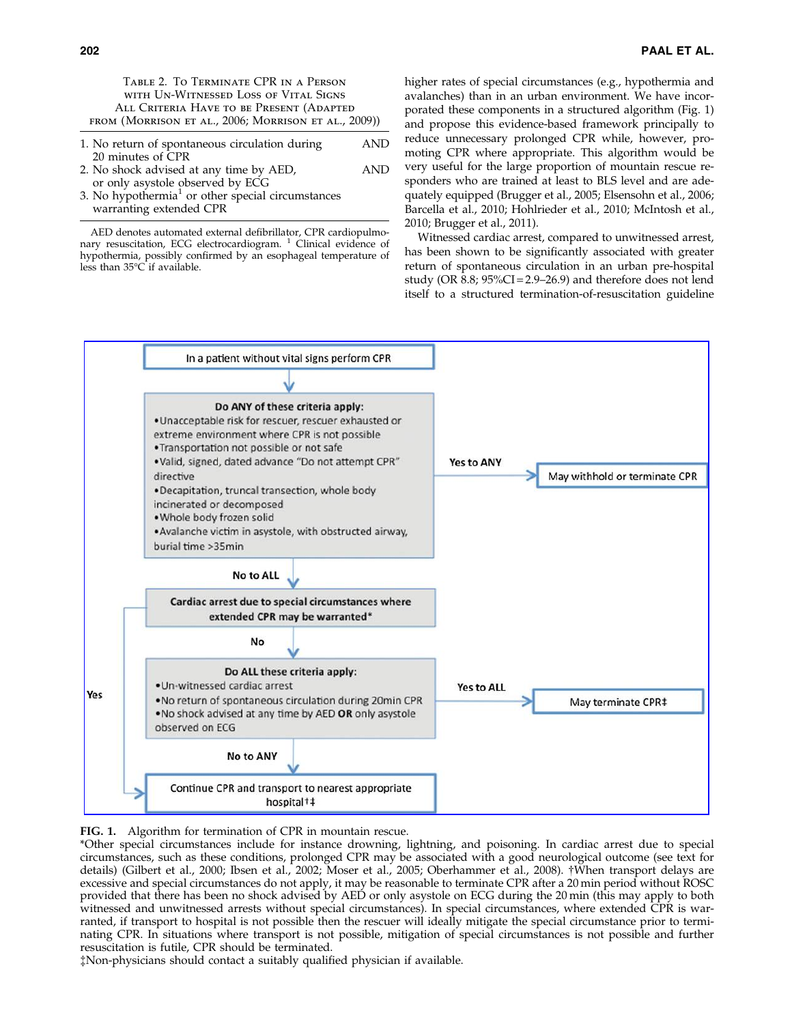| TABLE 2. TO TERMINATE CPR IN A PERSON                |
|------------------------------------------------------|
| WITH UN-WITNESSED LOSS OF VITAL SIGNS                |
| ALL CRITERIA HAVE TO BE PRESENT (ADAPTED             |
| FROM (MORRISON ET AL., 2006; MORRISON ET AL., 2009)) |

| 1. No return of spontaneous circulation during | <b>AND</b> |
|------------------------------------------------|------------|
| 20 minutes of CPR                              |            |
| 2. No shock advised at any time by AED,        | <b>AND</b> |
| or only asystole observed by ECG               |            |

or only asystole observed by ECG<br>3. No hypothermia<sup>1</sup> or other special circumstances warranting extended CPR

AED denotes automated external defibrillator, CPR cardiopulmonary resuscitation, ECG electrocardiogram.<sup>1</sup> Clinical evidence of hypothermia, possibly confirmed by an esophageal temperature of less than 35°C if available.

higher rates of special circumstances (e.g., hypothermia and avalanches) than in an urban environment. We have incorporated these components in a structured algorithm (Fig. 1) and propose this evidence-based framework principally to reduce unnecessary prolonged CPR while, however, promoting CPR where appropriate. This algorithm would be very useful for the large proportion of mountain rescue responders who are trained at least to BLS level and are adequately equipped (Brugger et al., 2005; Elsensohn et al., 2006; Barcella et al., 2010; Hohlrieder et al., 2010; McIntosh et al., 2010; Brugger et al., 2011).

Witnessed cardiac arrest, compared to unwitnessed arrest, has been shown to be significantly associated with greater return of spontaneous circulation in an urban pre-hospital study (OR 8.8;  $95\%CI = 2.9 - 26.9$ ) and therefore does not lend itself to a structured termination-of-resuscitation guideline



# FIG. 1. Algorithm for termination of CPR in mountain rescue.

\*Other special circumstances include for instance drowning, lightning, and poisoning. In cardiac arrest due to special circumstances, such as these conditions, prolonged CPR may be associated with a good neurological outcome (see text for details) (Gilbert et al., 2000; Ibsen et al., 2002; Moser et al., 2005; Oberhammer et al., 2008). {When transport delays are excessive and special circumstances do not apply, it may be reasonable to terminate CPR after a 20 min period without ROSC provided that there has been no shock advised by AED or only asystole on ECG during the 20 min (this may apply to both witnessed and unwitnessed arrests without special circumstances). In special circumstances, where extended CPR is warranted, if transport to hospital is not possible then the rescuer will ideally mitigate the special circumstance prior to terminating CPR. In situations where transport is not possible, mitigation of special circumstances is not possible and further resuscitation is futile, CPR should be terminated.

{Non-physicians should contact a suitably qualified physician if available.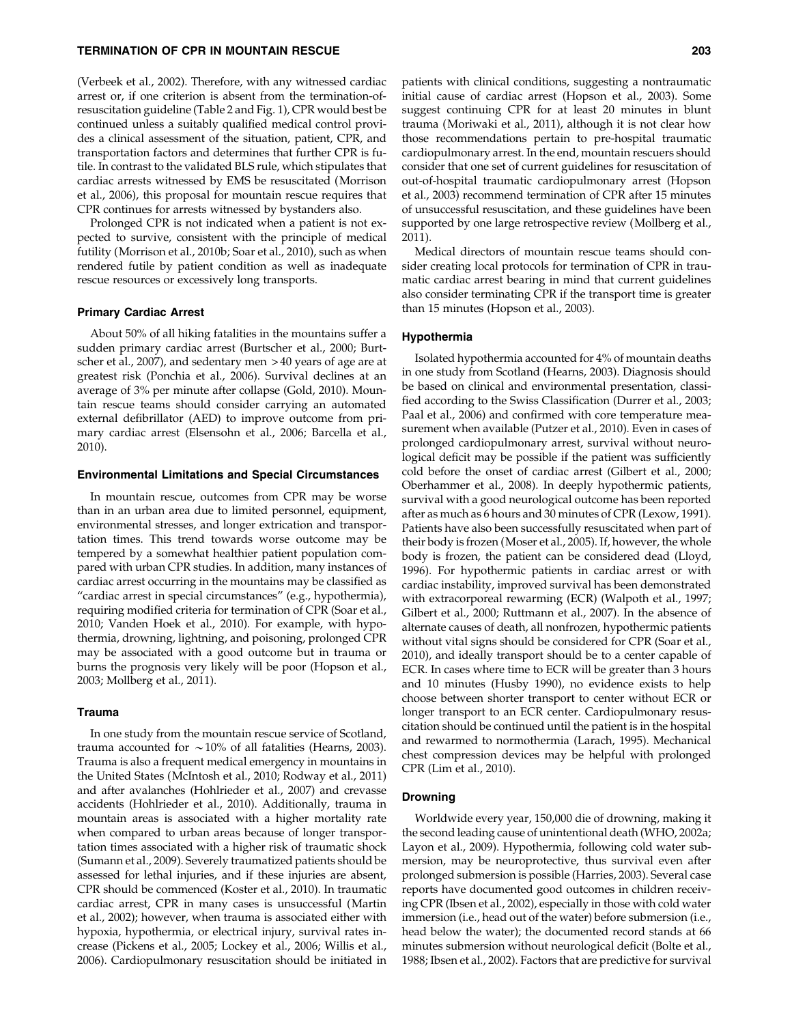# TERMINATION OF CPR IN MOUNTAIN RESCUE 203

(Verbeek et al., 2002). Therefore, with any witnessed cardiac arrest or, if one criterion is absent from the termination-ofresuscitation guideline (Table 2 and Fig. 1), CPR would best be continued unless a suitably qualified medical control provides a clinical assessment of the situation, patient, CPR, and transportation factors and determines that further CPR is futile. In contrast to the validated BLS rule, which stipulates that cardiac arrests witnessed by EMS be resuscitated (Morrison et al., 2006), this proposal for mountain rescue requires that CPR continues for arrests witnessed by bystanders also.

Prolonged CPR is not indicated when a patient is not expected to survive, consistent with the principle of medical futility (Morrison et al., 2010b; Soar et al., 2010), such as when rendered futile by patient condition as well as inadequate rescue resources or excessively long transports.

# Primary Cardiac Arrest

About 50% of all hiking fatalities in the mountains suffer a sudden primary cardiac arrest (Burtscher et al., 2000; Burtscher et al., 2007), and sedentary men > 40 years of age are at greatest risk (Ponchia et al., 2006). Survival declines at an average of 3% per minute after collapse (Gold, 2010). Mountain rescue teams should consider carrying an automated external defibrillator (AED) to improve outcome from primary cardiac arrest (Elsensohn et al., 2006; Barcella et al., 2010).

# Environmental Limitations and Special Circumstances

In mountain rescue, outcomes from CPR may be worse than in an urban area due to limited personnel, equipment, environmental stresses, and longer extrication and transportation times. This trend towards worse outcome may be tempered by a somewhat healthier patient population compared with urban CPR studies. In addition, many instances of cardiac arrest occurring in the mountains may be classified as "cardiac arrest in special circumstances" (e.g., hypothermia), requiring modified criteria for termination of CPR (Soar et al., 2010; Vanden Hoek et al., 2010). For example, with hypothermia, drowning, lightning, and poisoning, prolonged CPR may be associated with a good outcome but in trauma or burns the prognosis very likely will be poor (Hopson et al., 2003; Mollberg et al., 2011).

# Trauma

In one study from the mountain rescue service of Scotland, trauma accounted for  $\sim$  10% of all fatalities (Hearns, 2003). Trauma is also a frequent medical emergency in mountains in the United States (McIntosh et al., 2010; Rodway et al., 2011) and after avalanches (Hohlrieder et al., 2007) and crevasse accidents (Hohlrieder et al., 2010). Additionally, trauma in mountain areas is associated with a higher mortality rate when compared to urban areas because of longer transportation times associated with a higher risk of traumatic shock (Sumann et al., 2009). Severely traumatized patients should be assessed for lethal injuries, and if these injuries are absent, CPR should be commenced (Koster et al., 2010). In traumatic cardiac arrest, CPR in many cases is unsuccessful (Martin et al., 2002); however, when trauma is associated either with hypoxia, hypothermia, or electrical injury, survival rates increase (Pickens et al., 2005; Lockey et al., 2006; Willis et al., 2006). Cardiopulmonary resuscitation should be initiated in

patients with clinical conditions, suggesting a nontraumatic initial cause of cardiac arrest (Hopson et al., 2003). Some suggest continuing CPR for at least 20 minutes in blunt trauma (Moriwaki et al., 2011), although it is not clear how those recommendations pertain to pre-hospital traumatic cardiopulmonary arrest. In the end, mountain rescuers should consider that one set of current guidelines for resuscitation of out-of-hospital traumatic cardiopulmonary arrest (Hopson et al., 2003) recommend termination of CPR after 15 minutes of unsuccessful resuscitation, and these guidelines have been supported by one large retrospective review (Mollberg et al., 2011).

Medical directors of mountain rescue teams should consider creating local protocols for termination of CPR in traumatic cardiac arrest bearing in mind that current guidelines also consider terminating CPR if the transport time is greater than 15 minutes (Hopson et al., 2003).

## Hypothermia

Isolated hypothermia accounted for 4% of mountain deaths in one study from Scotland (Hearns, 2003). Diagnosis should be based on clinical and environmental presentation, classified according to the Swiss Classification (Durrer et al., 2003; Paal et al., 2006) and confirmed with core temperature measurement when available (Putzer et al., 2010). Even in cases of prolonged cardiopulmonary arrest, survival without neurological deficit may be possible if the patient was sufficiently cold before the onset of cardiac arrest (Gilbert et al., 2000; Oberhammer et al., 2008). In deeply hypothermic patients, survival with a good neurological outcome has been reported after as much as 6 hours and 30 minutes of CPR (Lexow, 1991). Patients have also been successfully resuscitated when part of their body is frozen (Moser et al., 2005). If, however, the whole body is frozen, the patient can be considered dead (Lloyd, 1996). For hypothermic patients in cardiac arrest or with cardiac instability, improved survival has been demonstrated with extracorporeal rewarming (ECR) (Walpoth et al., 1997; Gilbert et al., 2000; Ruttmann et al., 2007). In the absence of alternate causes of death, all nonfrozen, hypothermic patients without vital signs should be considered for CPR (Soar et al., 2010), and ideally transport should be to a center capable of ECR. In cases where time to ECR will be greater than 3 hours and 10 minutes (Husby 1990), no evidence exists to help choose between shorter transport to center without ECR or longer transport to an ECR center. Cardiopulmonary resuscitation should be continued until the patient is in the hospital and rewarmed to normothermia (Larach, 1995). Mechanical chest compression devices may be helpful with prolonged CPR (Lim et al., 2010).

# Drowning

Worldwide every year, 150,000 die of drowning, making it the second leading cause of unintentional death (WHO, 2002a; Layon et al., 2009). Hypothermia, following cold water submersion, may be neuroprotective, thus survival even after prolonged submersion is possible (Harries, 2003). Several case reports have documented good outcomes in children receiving CPR (Ibsen et al., 2002), especially in those with cold water immersion (i.e., head out of the water) before submersion (i.e., head below the water); the documented record stands at 66 minutes submersion without neurological deficit (Bolte et al., 1988; Ibsen et al., 2002). Factors that are predictive for survival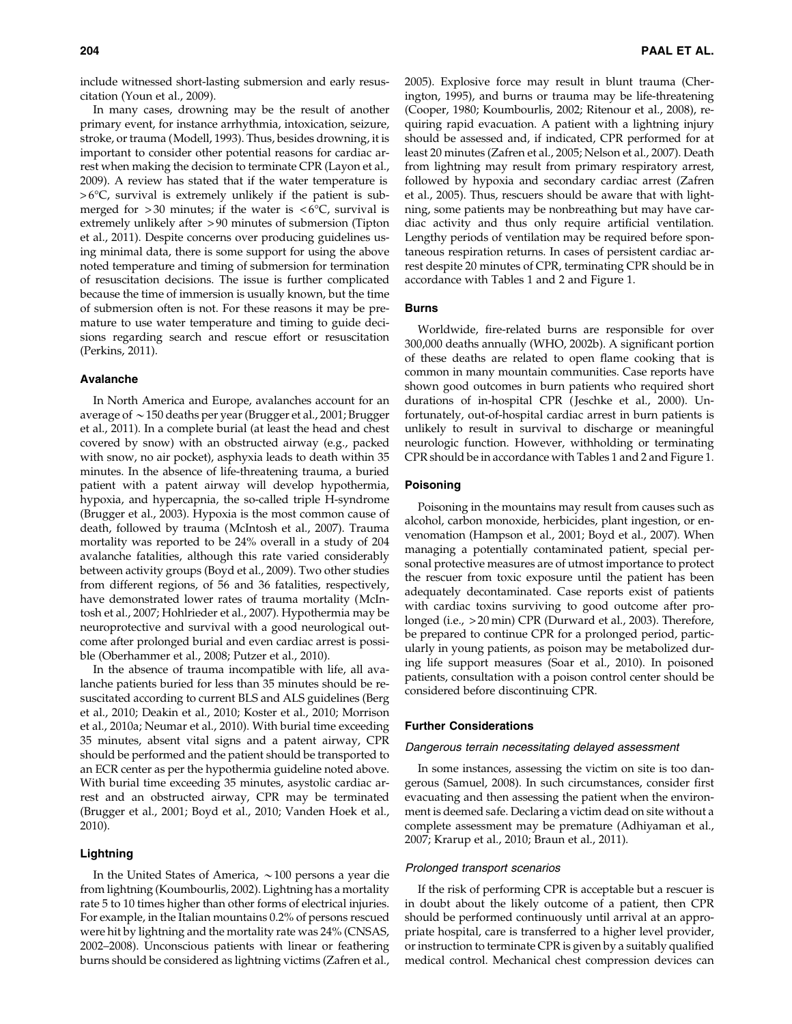include witnessed short-lasting submersion and early resuscitation (Youn et al., 2009).

In many cases, drowning may be the result of another primary event, for instance arrhythmia, intoxication, seizure, stroke, or trauma (Modell, 1993). Thus, besides drowning, it is important to consider other potential reasons for cardiac arrest when making the decision to terminate CPR (Layon et al., 2009). A review has stated that if the water temperature is >6°C, survival is extremely unlikely if the patient is submerged for  $>$  30 minutes; if the water is  $<$  6 $\degree$ C, survival is extremely unlikely after > 90 minutes of submersion (Tipton et al., 2011). Despite concerns over producing guidelines using minimal data, there is some support for using the above noted temperature and timing of submersion for termination of resuscitation decisions. The issue is further complicated because the time of immersion is usually known, but the time of submersion often is not. For these reasons it may be premature to use water temperature and timing to guide decisions regarding search and rescue effort or resuscitation (Perkins, 2011).

# Avalanche

In North America and Europe, avalanches account for an average of  $\sim$  150 deaths per year (Brugger et al., 2001; Brugger et al., 2011). In a complete burial (at least the head and chest covered by snow) with an obstructed airway (e.g., packed with snow, no air pocket), asphyxia leads to death within 35 minutes. In the absence of life-threatening trauma, a buried patient with a patent airway will develop hypothermia, hypoxia, and hypercapnia, the so-called triple H-syndrome (Brugger et al., 2003). Hypoxia is the most common cause of death, followed by trauma (McIntosh et al., 2007). Trauma mortality was reported to be 24% overall in a study of 204 avalanche fatalities, although this rate varied considerably between activity groups (Boyd et al., 2009). Two other studies from different regions, of 56 and 36 fatalities, respectively, have demonstrated lower rates of trauma mortality (McIntosh et al., 2007; Hohlrieder et al., 2007). Hypothermia may be neuroprotective and survival with a good neurological outcome after prolonged burial and even cardiac arrest is possible (Oberhammer et al., 2008; Putzer et al., 2010).

In the absence of trauma incompatible with life, all avalanche patients buried for less than 35 minutes should be resuscitated according to current BLS and ALS guidelines (Berg et al., 2010; Deakin et al., 2010; Koster et al., 2010; Morrison et al., 2010a; Neumar et al., 2010). With burial time exceeding 35 minutes, absent vital signs and a patent airway, CPR should be performed and the patient should be transported to an ECR center as per the hypothermia guideline noted above. With burial time exceeding 35 minutes, asystolic cardiac arrest and an obstructed airway, CPR may be terminated (Brugger et al., 2001; Boyd et al., 2010; Vanden Hoek et al., 2010).

# Lightning

In the United States of America,  $\sim$ 100 persons a year die from lightning (Koumbourlis, 2002). Lightning has a mortality rate 5 to 10 times higher than other forms of electrical injuries. For example, in the Italian mountains 0.2% of persons rescued were hit by lightning and the mortality rate was 24% (CNSAS, 2002–2008). Unconscious patients with linear or feathering burns should be considered as lightning victims (Zafren et al., 2005). Explosive force may result in blunt trauma (Cherington, 1995), and burns or trauma may be life-threatening (Cooper, 1980; Koumbourlis, 2002; Ritenour et al., 2008), requiring rapid evacuation. A patient with a lightning injury should be assessed and, if indicated, CPR performed for at least 20 minutes (Zafren et al., 2005; Nelson et al., 2007). Death from lightning may result from primary respiratory arrest, followed by hypoxia and secondary cardiac arrest (Zafren et al., 2005). Thus, rescuers should be aware that with lightning, some patients may be nonbreathing but may have cardiac activity and thus only require artificial ventilation. Lengthy periods of ventilation may be required before spontaneous respiration returns. In cases of persistent cardiac arrest despite 20 minutes of CPR, terminating CPR should be in accordance with Tables 1 and 2 and Figure 1.

# Burns

Worldwide, fire-related burns are responsible for over 300,000 deaths annually (WHO, 2002b). A significant portion of these deaths are related to open flame cooking that is common in many mountain communities. Case reports have shown good outcomes in burn patients who required short durations of in-hospital CPR (Jeschke et al., 2000). Unfortunately, out-of-hospital cardiac arrest in burn patients is unlikely to result in survival to discharge or meaningful neurologic function. However, withholding or terminating CPR should be in accordance with Tables 1 and 2 and Figure 1.

# Poisoning

Poisoning in the mountains may result from causes such as alcohol, carbon monoxide, herbicides, plant ingestion, or envenomation (Hampson et al., 2001; Boyd et al., 2007). When managing a potentially contaminated patient, special personal protective measures are of utmost importance to protect the rescuer from toxic exposure until the patient has been adequately decontaminated. Case reports exist of patients with cardiac toxins surviving to good outcome after prolonged (i.e., > 20 min) CPR (Durward et al., 2003). Therefore, be prepared to continue CPR for a prolonged period, particularly in young patients, as poison may be metabolized during life support measures (Soar et al., 2010). In poisoned patients, consultation with a poison control center should be considered before discontinuing CPR.

# Further Considerations

# Dangerous terrain necessitating delayed assessment

In some instances, assessing the victim on site is too dangerous (Samuel, 2008). In such circumstances, consider first evacuating and then assessing the patient when the environment is deemed safe. Declaring a victim dead on site without a complete assessment may be premature (Adhiyaman et al., 2007; Krarup et al., 2010; Braun et al., 2011).

# Prolonged transport scenarios

If the risk of performing CPR is acceptable but a rescuer is in doubt about the likely outcome of a patient, then CPR should be performed continuously until arrival at an appropriate hospital, care is transferred to a higher level provider, or instruction to terminate CPR is given by a suitably qualified medical control. Mechanical chest compression devices can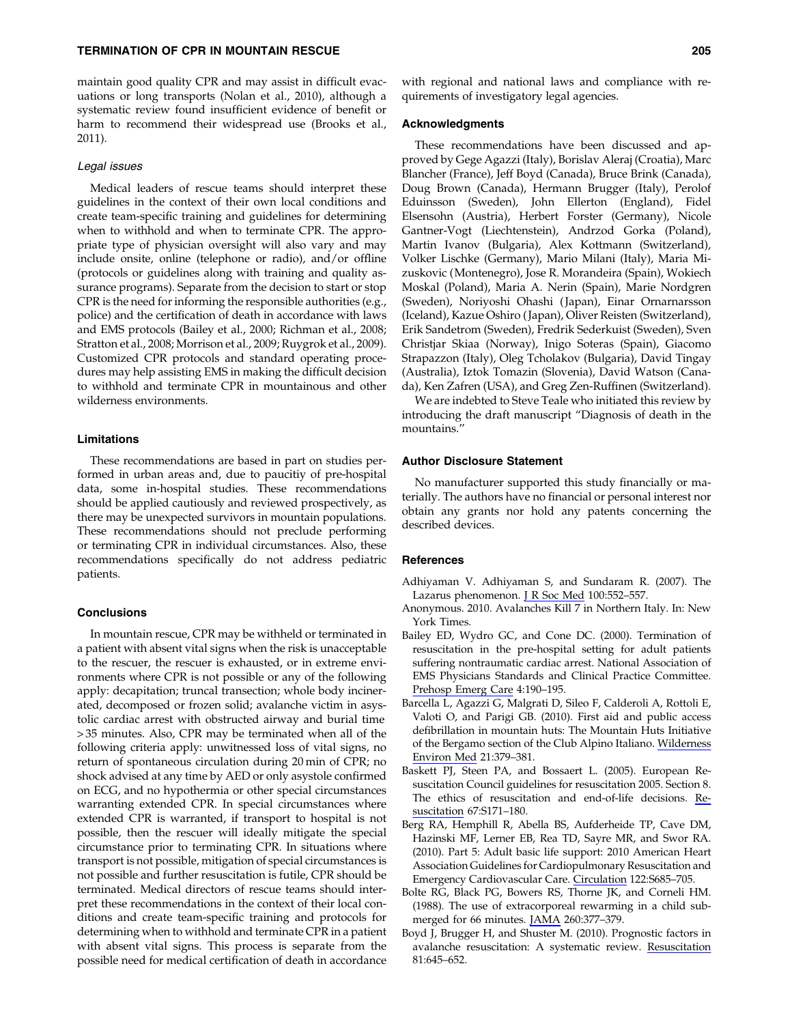# TERMINATION OF CPR IN MOUNTAIN RESCUE 205

maintain good quality CPR and may assist in difficult evacuations or long transports (Nolan et al., 2010), although a systematic review found insufficient evidence of benefit or harm to recommend their widespread use (Brooks et al., 2011).

### Legal issues

Medical leaders of rescue teams should interpret these guidelines in the context of their own local conditions and create team-specific training and guidelines for determining when to withhold and when to terminate CPR. The appropriate type of physician oversight will also vary and may include onsite, online (telephone or radio), and/or offline (protocols or guidelines along with training and quality assurance programs). Separate from the decision to start or stop CPR is the need for informing the responsible authorities (e.g., police) and the certification of death in accordance with laws and EMS protocols (Bailey et al., 2000; Richman et al., 2008; Stratton et al., 2008; Morrison et al., 2009; Ruygrok et al., 2009). Customized CPR protocols and standard operating procedures may help assisting EMS in making the difficult decision to withhold and terminate CPR in mountainous and other wilderness environments.

# Limitations

These recommendations are based in part on studies performed in urban areas and, due to paucitiy of pre-hospital data, some in-hospital studies. These recommendations should be applied cautiously and reviewed prospectively, as there may be unexpected survivors in mountain populations. These recommendations should not preclude performing or terminating CPR in individual circumstances. Also, these recommendations specifically do not address pediatric patients.

### **Conclusions**

In mountain rescue, CPR may be withheld or terminated in a patient with absent vital signs when the risk is unacceptable to the rescuer, the rescuer is exhausted, or in extreme environments where CPR is not possible or any of the following apply: decapitation; truncal transection; whole body incinerated, decomposed or frozen solid; avalanche victim in asystolic cardiac arrest with obstructed airway and burial time > 35 minutes. Also, CPR may be terminated when all of the following criteria apply: unwitnessed loss of vital signs, no return of spontaneous circulation during 20 min of CPR; no shock advised at any time by AED or only asystole confirmed on ECG, and no hypothermia or other special circumstances warranting extended CPR. In special circumstances where extended CPR is warranted, if transport to hospital is not possible, then the rescuer will ideally mitigate the special circumstance prior to terminating CPR. In situations where transport is not possible, mitigation of special circumstances is not possible and further resuscitation is futile, CPR should be terminated. Medical directors of rescue teams should interpret these recommendations in the context of their local conditions and create team-specific training and protocols for determining when to withhold and terminate CPR in a patient with absent vital signs. This process is separate from the possible need for medical certification of death in accordance

with regional and national laws and compliance with requirements of investigatory legal agencies.

#### Acknowledgments

These recommendations have been discussed and approved by Gege Agazzi (Italy), Borislav Aleraj (Croatia), Marc Blancher (France), Jeff Boyd (Canada), Bruce Brink (Canada), Doug Brown (Canada), Hermann Brugger (Italy), Perolof Eduinsson (Sweden), John Ellerton (England), Fidel Elsensohn (Austria), Herbert Forster (Germany), Nicole Gantner-Vogt (Liechtenstein), Andrzod Gorka (Poland), Martin Ivanov (Bulgaria), Alex Kottmann (Switzerland), Volker Lischke (Germany), Mario Milani (Italy), Maria Mizuskovic (Montenegro), Jose R. Morandeira (Spain), Wokiech Moskal (Poland), Maria A. Nerin (Spain), Marie Nordgren (Sweden), Noriyoshi Ohashi ( Japan), Einar Ornarnarsson (Iceland), Kazue Oshiro ( Japan), Oliver Reisten (Switzerland), Erik Sandetrom (Sweden), Fredrik Sederkuist (Sweden), Sven Christjar Skiaa (Norway), Inigo Soteras (Spain), Giacomo Strapazzon (Italy), Oleg Tcholakov (Bulgaria), David Tingay (Australia), Iztok Tomazin (Slovenia), David Watson (Canada), Ken Zafren (USA), and Greg Zen-Ruffinen (Switzerland).

We are indebted to Steve Teale who initiated this review by introducing the draft manuscript ''Diagnosis of death in the mountains.''

# Author Disclosure Statement

No manufacturer supported this study financially or materially. The authors have no financial or personal interest nor obtain any grants nor hold any patents concerning the described devices.

# References

- Adhiyaman V. Adhiyaman S, and Sundaram R. (2007). The Lazarus phenomenon. J R Soc Med 100:552-557.
- Anonymous. 2010. Avalanches Kill 7 in Northern Italy. In: New York Times.
- Bailey ED, Wydro GC, and Cone DC. (2000). Termination of resuscitation in the pre-hospital setting for adult patients suffering nontraumatic cardiac arrest. National Association of EMS Physicians Standards and Clinical Practice Committee. Prehosp Emerg Care 4:190–195.
- Barcella L, Agazzi G, Malgrati D, Sileo F, Calderoli A, Rottoli E, Valoti O, and Parigi GB. (2010). First aid and public access defibrillation in mountain huts: The Mountain Huts Initiative of the Bergamo section of the Club Alpino Italiano. Wilderness Environ Med 21:379–381.
- Baskett PJ, Steen PA, and Bossaert L. (2005). European Resuscitation Council guidelines for resuscitation 2005. Section 8. The ethics of resuscitation and end-of-life decisions. Resuscitation 67:S171–180.
- Berg RA, Hemphill R, Abella BS, Aufderheide TP, Cave DM, Hazinski MF, Lerner EB, Rea TD, Sayre MR, and Swor RA. (2010). Part 5: Adult basic life support: 2010 American Heart Association Guidelines for Cardiopulmonary Resuscitation and Emergency Cardiovascular Care. Circulation 122:S685–705.
- Bolte RG, Black PG, Bowers RS, Thorne JK, and Corneli HM. (1988). The use of extracorporeal rewarming in a child submerged for 66 minutes. JAMA 260:377–379.
- Boyd J, Brugger H, and Shuster M. (2010). Prognostic factors in avalanche resuscitation: A systematic review. Resuscitation 81:645–652.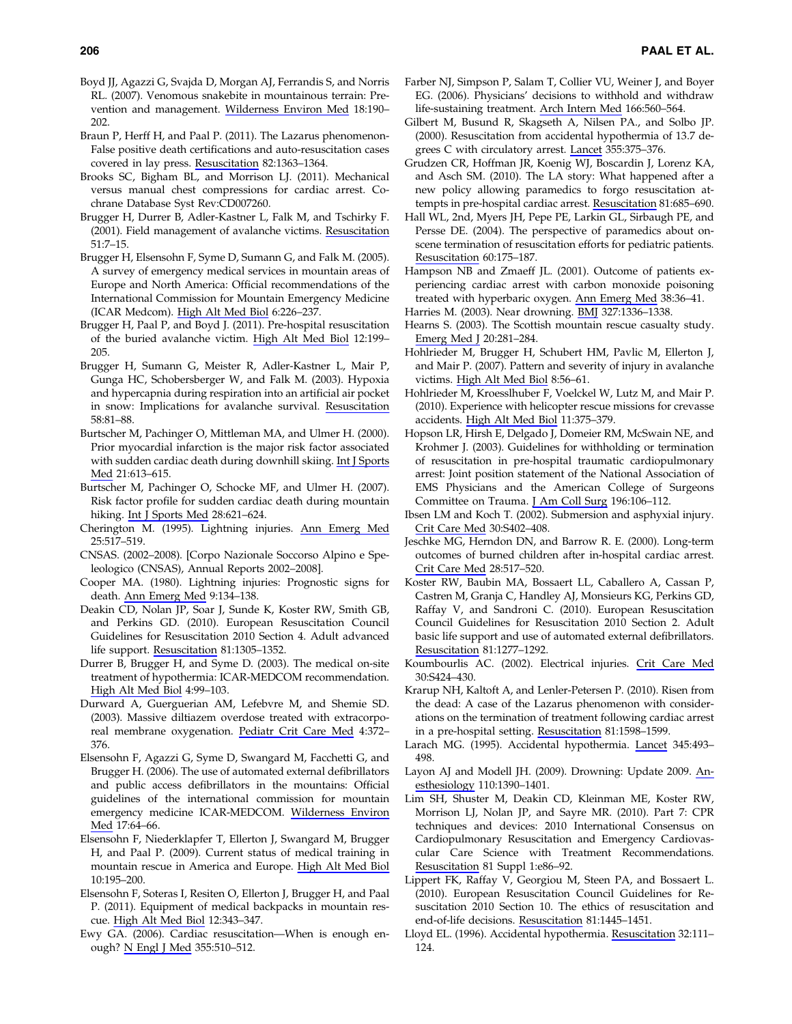- Boyd JJ, Agazzi G, Svajda D, Morgan AJ, Ferrandis S, and Norris RL. (2007). Venomous snakebite in mountainous terrain: Prevention and management. Wilderness Environ Med 18:190– 202.
- Braun P, Herff H, and Paal P. (2011). The Lazarus phenomenon-False positive death certifications and auto-resuscitation cases covered in lay press. Resuscitation 82:1363–1364.
- Brooks SC, Bigham BL, and Morrison LJ. (2011). Mechanical versus manual chest compressions for cardiac arrest. Cochrane Database Syst Rev:CD007260.
- Brugger H, Durrer B, Adler-Kastner L, Falk M, and Tschirky F. (2001). Field management of avalanche victims. Resuscitation 51:7–15.
- Brugger H, Elsensohn F, Syme D, Sumann G, and Falk M. (2005). A survey of emergency medical services in mountain areas of Europe and North America: Official recommendations of the International Commission for Mountain Emergency Medicine (ICAR Medcom). High Alt Med Biol 6:226–237.
- Brugger H, Paal P, and Boyd J. (2011). Pre-hospital resuscitation of the buried avalanche victim. High Alt Med Biol 12:199– 205.
- Brugger H, Sumann G, Meister R, Adler-Kastner L, Mair P, Gunga HC, Schobersberger W, and Falk M. (2003). Hypoxia and hypercapnia during respiration into an artificial air pocket in snow: Implications for avalanche survival. Resuscitation 58:81–88.
- Burtscher M, Pachinger O, Mittleman MA, and Ulmer H. (2000). Prior myocardial infarction is the major risk factor associated with sudden cardiac death during downhill skiing. Int J Sports Med 21:613–615.
- Burtscher M, Pachinger O, Schocke MF, and Ulmer H. (2007). Risk factor profile for sudden cardiac death during mountain hiking. Int J Sports Med 28:621–624.
- Cherington M. (1995). Lightning injuries. Ann Emerg Med 25:517–519.
- CNSAS. (2002–2008). [Corpo Nazionale Soccorso Alpino e Speleologico (CNSAS), Annual Reports 2002–2008].
- Cooper MA. (1980). Lightning injuries: Prognostic signs for death. Ann Emerg Med 9:134–138.
- Deakin CD, Nolan JP, Soar J, Sunde K, Koster RW, Smith GB, and Perkins GD. (2010). European Resuscitation Council Guidelines for Resuscitation 2010 Section 4. Adult advanced life support. Resuscitation 81:1305–1352.
- Durrer B, Brugger H, and Syme D. (2003). The medical on-site treatment of hypothermia: ICAR-MEDCOM recommendation. High Alt Med Biol 4:99–103.
- Durward A, Guerguerian AM, Lefebvre M, and Shemie SD. (2003). Massive diltiazem overdose treated with extracorporeal membrane oxygenation. Pediatr Crit Care Med 4:372– 376.
- Elsensohn F, Agazzi G, Syme D, Swangard M, Facchetti G, and Brugger H. (2006). The use of automated external defibrillators and public access defibrillators in the mountains: Official guidelines of the international commission for mountain emergency medicine ICAR-MEDCOM. Wilderness Environ Med 17:64–66.
- Elsensohn F, Niederklapfer T, Ellerton J, Swangard M, Brugger H, and Paal P. (2009). Current status of medical training in mountain rescue in America and Europe. High Alt Med Biol 10:195–200.
- Elsensohn F, Soteras I, Resiten O, Ellerton J, Brugger H, and Paal P. (2011). Equipment of medical backpacks in mountain rescue. High Alt Med Biol 12:343–347.
- Ewy GA. (2006). Cardiac resuscitation—When is enough enough? N Engl J Med 355:510–512.
- Farber NJ, Simpson P, Salam T, Collier VU, Weiner J, and Boyer EG. (2006). Physicians' decisions to withhold and withdraw life-sustaining treatment. Arch Intern Med 166:560–564.
- Gilbert M, Busund R, Skagseth A, Nilsen PA., and Solbo JP. (2000). Resuscitation from accidental hypothermia of 13.7 degrees C with circulatory arrest. Lancet 355:375–376.
- Grudzen CR, Hoffman JR, Koenig WJ, Boscardin J, Lorenz KA, and Asch SM. (2010). The LA story: What happened after a new policy allowing paramedics to forgo resuscitation attempts in pre-hospital cardiac arrest. Resuscitation 81:685–690.
- Hall WL, 2nd, Myers JH, Pepe PE, Larkin GL, Sirbaugh PE, and Persse DE. (2004). The perspective of paramedics about onscene termination of resuscitation efforts for pediatric patients. Resuscitation 60:175–187.
- Hampson NB and Zmaeff JL. (2001). Outcome of patients experiencing cardiac arrest with carbon monoxide poisoning treated with hyperbaric oxygen. Ann Emerg Med 38:36–41.
- Harries M. (2003). Near drowning. BMJ 327:1336–1338.
- Hearns S. (2003). The Scottish mountain rescue casualty study. Emerg Med J 20:281–284.
- Hohlrieder M, Brugger H, Schubert HM, Pavlic M, Ellerton J, and Mair P. (2007). Pattern and severity of injury in avalanche victims. High Alt Med Biol 8:56–61.
- Hohlrieder M, Kroesslhuber F, Voelckel W, Lutz M, and Mair P. (2010). Experience with helicopter rescue missions for crevasse accidents. High Alt Med Biol 11:375–379.
- Hopson LR, Hirsh E, Delgado J, Domeier RM, McSwain NE, and Krohmer J. (2003). Guidelines for withholding or termination of resuscitation in pre-hospital traumatic cardiopulmonary arrest: Joint position statement of the National Association of EMS Physicians and the American College of Surgeons Committee on Trauma. J Am Coll Surg 196:106–112.
- Ibsen LM and Koch T. (2002). Submersion and asphyxial injury. Crit Care Med 30:S402–408.
- Jeschke MG, Herndon DN, and Barrow R. E. (2000). Long-term outcomes of burned children after in-hospital cardiac arrest. Crit Care Med 28:517–520.
- Koster RW, Baubin MA, Bossaert LL, Caballero A, Cassan P, Castren M, Granja C, Handley AJ, Monsieurs KG, Perkins GD, Raffay V, and Sandroni C. (2010). European Resuscitation Council Guidelines for Resuscitation 2010 Section 2. Adult basic life support and use of automated external defibrillators. Resuscitation 81:1277–1292.
- Koumbourlis AC. (2002). Electrical injuries. Crit Care Med 30:S424–430.
- Krarup NH, Kaltoft A, and Lenler-Petersen P. (2010). Risen from the dead: A case of the Lazarus phenomenon with considerations on the termination of treatment following cardiac arrest in a pre-hospital setting. Resuscitation 81:1598–1599.
- Larach MG. (1995). Accidental hypothermia. Lancet 345:493– 498.
- Layon AJ and Modell JH. (2009). Drowning: Update 2009. Anesthesiology 110:1390–1401.
- Lim SH, Shuster M, Deakin CD, Kleinman ME, Koster RW, Morrison LJ, Nolan JP, and Sayre MR. (2010). Part 7: CPR techniques and devices: 2010 International Consensus on Cardiopulmonary Resuscitation and Emergency Cardiovascular Care Science with Treatment Recommendations. Resuscitation 81 Suppl 1:e86–92.
- Lippert FK, Raffay V, Georgiou M, Steen PA, and Bossaert L. (2010). European Resuscitation Council Guidelines for Resuscitation 2010 Section 10. The ethics of resuscitation and end-of-life decisions. Resuscitation 81:1445–1451.
- Lloyd EL. (1996). Accidental hypothermia. Resuscitation 32:111– 124.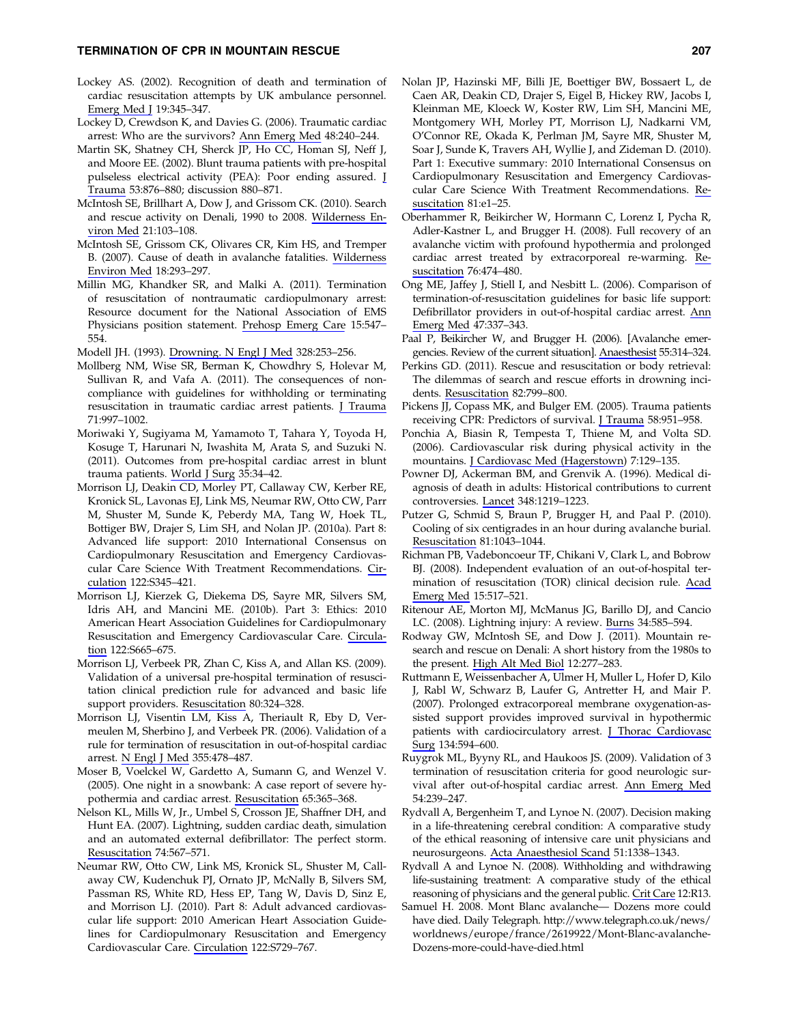- Lockey AS. (2002). Recognition of death and termination of cardiac resuscitation attempts by UK ambulance personnel. Emerg Med J 19:345–347.
- Lockey D, Crewdson K, and Davies G. (2006). Traumatic cardiac arrest: Who are the survivors? Ann Emerg Med 48:240–244.
- Martin SK, Shatney CH, Sherck JP, Ho CC, Homan SJ, Neff J, and Moore EE. (2002). Blunt trauma patients with pre-hospital pulseless electrical activity (PEA): Poor ending assured. J Trauma 53:876–880; discussion 880–871.
- McIntosh SE, Brillhart A, Dow J, and Grissom CK. (2010). Search and rescue activity on Denali, 1990 to 2008. Wilderness Environ Med 21:103–108.
- McIntosh SE, Grissom CK, Olivares CR, Kim HS, and Tremper B. (2007). Cause of death in avalanche fatalities. Wilderness Environ Med 18:293–297.
- Millin MG, Khandker SR, and Malki A. (2011). Termination of resuscitation of nontraumatic cardiopulmonary arrest: Resource document for the National Association of EMS Physicians position statement. Prehosp Emerg Care 15:547– 554.

Modell JH. (1993). Drowning. N Engl J Med 328:253–256.

- Mollberg NM, Wise SR, Berman K, Chowdhry S, Holevar M, Sullivan R, and Vafa A. (2011). The consequences of noncompliance with guidelines for withholding or terminating resuscitation in traumatic cardiac arrest patients. J Trauma 71:997–1002.
- Moriwaki Y, Sugiyama M, Yamamoto T, Tahara Y, Toyoda H, Kosuge T, Harunari N, Iwashita M, Arata S, and Suzuki N. (2011). Outcomes from pre-hospital cardiac arrest in blunt trauma patients. World J Surg 35:34–42.
- Morrison LJ, Deakin CD, Morley PT, Callaway CW, Kerber RE, Kronick SL, Lavonas EJ, Link MS, Neumar RW, Otto CW, Parr M, Shuster M, Sunde K, Peberdy MA, Tang W, Hoek TL, Bottiger BW, Drajer S, Lim SH, and Nolan JP. (2010a). Part 8: Advanced life support: 2010 International Consensus on Cardiopulmonary Resuscitation and Emergency Cardiovascular Care Science With Treatment Recommendations. Circulation 122:S345–421.
- Morrison LJ, Kierzek G, Diekema DS, Sayre MR, Silvers SM, Idris AH, and Mancini ME. (2010b). Part 3: Ethics: 2010 American Heart Association Guidelines for Cardiopulmonary Resuscitation and Emergency Cardiovascular Care. Circulation 122:S665–675.
- Morrison LJ, Verbeek PR, Zhan C, Kiss A, and Allan KS. (2009). Validation of a universal pre-hospital termination of resuscitation clinical prediction rule for advanced and basic life support providers. Resuscitation 80:324–328.
- Morrison LJ, Visentin LM, Kiss A, Theriault R, Eby D, Vermeulen M, Sherbino J, and Verbeek PR. (2006). Validation of a rule for termination of resuscitation in out-of-hospital cardiac arrest. N Engl J Med 355:478–487.
- Moser B, Voelckel W, Gardetto A, Sumann G, and Wenzel V. (2005). One night in a snowbank: A case report of severe hypothermia and cardiac arrest. Resuscitation 65:365–368.
- Nelson KL, Mills W, Jr., Umbel S, Crosson JE, Shaffner DH, and Hunt EA. (2007). Lightning, sudden cardiac death, simulation and an automated external defibrillator: The perfect storm. Resuscitation 74:567–571.
- Neumar RW, Otto CW, Link MS, Kronick SL, Shuster M, Callaway CW, Kudenchuk PJ, Ornato JP, McNally B, Silvers SM, Passman RS, White RD, Hess EP, Tang W, Davis D, Sinz E, and Morrison LJ. (2010). Part 8: Adult advanced cardiovascular life support: 2010 American Heart Association Guidelines for Cardiopulmonary Resuscitation and Emergency Cardiovascular Care. Circulation 122:S729–767.
- Nolan JP, Hazinski MF, Billi JE, Boettiger BW, Bossaert L, de Caen AR, Deakin CD, Drajer S, Eigel B, Hickey RW, Jacobs I, Kleinman ME, Kloeck W, Koster RW, Lim SH, Mancini ME, Montgomery WH, Morley PT, Morrison LJ, Nadkarni VM, O'Connor RE, Okada K, Perlman JM, Sayre MR, Shuster M, Soar J, Sunde K, Travers AH, Wyllie J, and Zideman D. (2010). Part 1: Executive summary: 2010 International Consensus on Cardiopulmonary Resuscitation and Emergency Cardiovascular Care Science With Treatment Recommendations. Resuscitation 81:e1–25.
- Oberhammer R, Beikircher W, Hormann C, Lorenz I, Pycha R, Adler-Kastner L, and Brugger H. (2008). Full recovery of an avalanche victim with profound hypothermia and prolonged cardiac arrest treated by extracorporeal re-warming. Resuscitation 76:474–480.
- Ong ME, Jaffey J, Stiell I, and Nesbitt L. (2006). Comparison of termination-of-resuscitation guidelines for basic life support: Defibrillator providers in out-of-hospital cardiac arrest. Ann Emerg Med 47:337–343.
- Paal P, Beikircher W, and Brugger H. (2006). [Avalanche emergencies. Review of the current situation]. Anaesthesist 55:314–324.
- Perkins GD. (2011). Rescue and resuscitation or body retrieval: The dilemmas of search and rescue efforts in drowning incidents. Resuscitation 82:799–800.
- Pickens JJ, Copass MK, and Bulger EM. (2005). Trauma patients receiving CPR: Predictors of survival. J Trauma 58:951–958.
- Ponchia A, Biasin R, Tempesta T, Thiene M, and Volta SD. (2006). Cardiovascular risk during physical activity in the mountains. J Cardiovasc Med (Hagerstown) 7:129–135.
- Powner DJ, Ackerman BM, and Grenvik A. (1996). Medical diagnosis of death in adults: Historical contributions to current controversies. Lancet 348:1219–1223.
- Putzer G, Schmid S, Braun P, Brugger H, and Paal P. (2010). Cooling of six centigrades in an hour during avalanche burial. Resuscitation 81:1043–1044.
- Richman PB, Vadeboncoeur TF, Chikani V, Clark L, and Bobrow BJ. (2008). Independent evaluation of an out-of-hospital termination of resuscitation (TOR) clinical decision rule. Acad Emerg Med 15:517–521.
- Ritenour AE, Morton MJ, McManus JG, Barillo DJ, and Cancio LC. (2008). Lightning injury: A review. Burns 34:585–594.
- Rodway GW, McIntosh SE, and Dow J. (2011). Mountain research and rescue on Denali: A short history from the 1980s to the present. High Alt Med Biol 12:277–283.
- Ruttmann E, Weissenbacher A, Ulmer H, Muller L, Hofer D, Kilo J, Rabl W, Schwarz B, Laufer G, Antretter H, and Mair P. (2007). Prolonged extracorporeal membrane oxygenation-assisted support provides improved survival in hypothermic patients with cardiocirculatory arrest. J Thorac Cardiovasc Surg 134:594–600.
- Ruygrok ML, Byyny RL, and Haukoos JS. (2009). Validation of 3 termination of resuscitation criteria for good neurologic survival after out-of-hospital cardiac arrest. Ann Emerg Med 54:239–247.
- Rydvall A, Bergenheim T, and Lynoe N. (2007). Decision making in a life-threatening cerebral condition: A comparative study of the ethical reasoning of intensive care unit physicians and neurosurgeons. Acta Anaesthesiol Scand 51:1338–1343.
- Rydvall A and Lynoe N. (2008). Withholding and withdrawing life-sustaining treatment: A comparative study of the ethical reasoning of physicians and the general public. Crit Care 12:R13.
- Samuel H. 2008. Mont Blanc avalanche— Dozens more could have died. Daily Telegraph. http://www.telegraph.co.uk/news/ worldnews/europe/france/2619922/Mont-Blanc-avalanche-Dozens-more-could-have-died.html